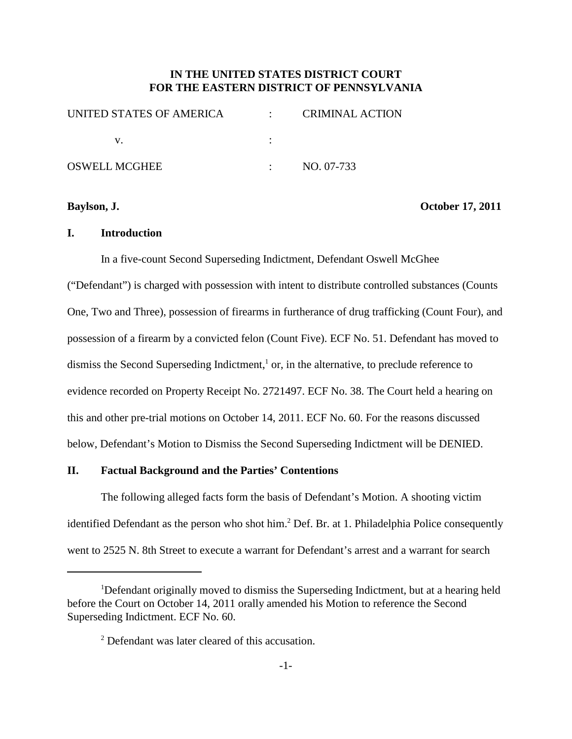## **IN THE UNITED STATES DISTRICT COURT FOR THE EASTERN DISTRICT OF PENNSYLVANIA**

| UNITED STATES OF AMERICA |                  | <b>CRIMINAL ACTION</b> |
|--------------------------|------------------|------------------------|
|                          |                  |                        |
| OSWELL MCGHEE            | $\sim$ 100 $\mu$ | NO. 07-733             |

**Baylson, J. October 17, 2011**

## **I. Introduction**

In a five-count Second Superseding Indictment, Defendant Oswell McGhee

("Defendant") is charged with possession with intent to distribute controlled substances (Counts One, Two and Three), possession of firearms in furtherance of drug trafficking (Count Four), and possession of a firearm by a convicted felon (Count Five). ECF No. 51. Defendant has moved to dismiss the Second Superseding Indictment,<sup>1</sup> or, in the alternative, to preclude reference to evidence recorded on Property Receipt No. 2721497. ECF No. 38. The Court held a hearing on this and other pre-trial motions on October 14, 2011. ECF No. 60. For the reasons discussed below, Defendant's Motion to Dismiss the Second Superseding Indictment will be DENIED.

## **II. Factual Background and the Parties' Contentions**

The following alleged facts form the basis of Defendant's Motion. A shooting victim identified Defendant as the person who shot him. <sup>2</sup> Def. Br. at 1. Philadelphia Police consequently went to 2525 N. 8th Street to execute a warrant for Defendant's arrest and a warrant for search

<sup>&</sup>lt;sup>1</sup>Defendant originally moved to dismiss the Superseding Indictment, but at a hearing held before the Court on October 14, 2011 orally amended his Motion to reference the Second Superseding Indictment. ECF No. 60.

<sup>2</sup> Defendant was later cleared of this accusation.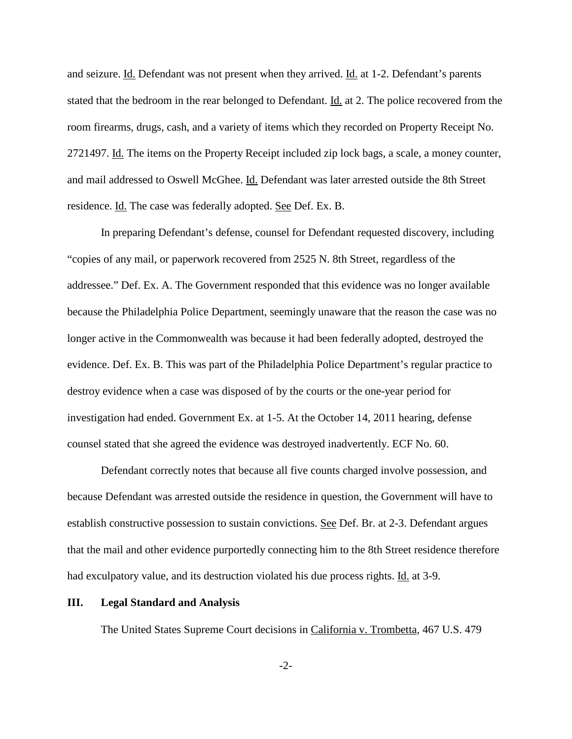and seizure. Id. Defendant was not present when they arrived. Id. at 1-2. Defendant's parents stated that the bedroom in the rear belonged to Defendant. Id. at 2. The police recovered from the room firearms, drugs, cash, and a variety of items which they recorded on Property Receipt No. 2721497. Id. The items on the Property Receipt included zip lock bags, a scale, a money counter, and mail addressed to Oswell McGhee. Id. Defendant was later arrested outside the 8th Street residence. Id. The case was federally adopted. See Def. Ex. B.

In preparing Defendant's defense, counsel for Defendant requested discovery, including "copies of any mail, or paperwork recovered from 2525 N. 8th Street, regardless of the addressee." Def. Ex. A. The Government responded that this evidence was no longer available because the Philadelphia Police Department, seemingly unaware that the reason the case was no longer active in the Commonwealth was because it had been federally adopted, destroyed the evidence. Def. Ex. B. This was part of the Philadelphia Police Department's regular practice to destroy evidence when a case was disposed of by the courts or the one-year period for investigation had ended. Government Ex. at 1-5. At the October 14, 2011 hearing, defense counsel stated that she agreed the evidence was destroyed inadvertently. ECF No. 60.

Defendant correctly notes that because all five counts charged involve possession, and because Defendant was arrested outside the residence in question, the Government will have to establish constructive possession to sustain convictions. See Def. Br. at 2-3. Defendant argues that the mail and other evidence purportedly connecting him to the 8th Street residence therefore had exculpatory value, and its destruction violated his due process rights. Id. at 3-9.

### **III. Legal Standard and Analysis**

The United States Supreme Court decisions in California v. Trombetta, 467 U.S. 479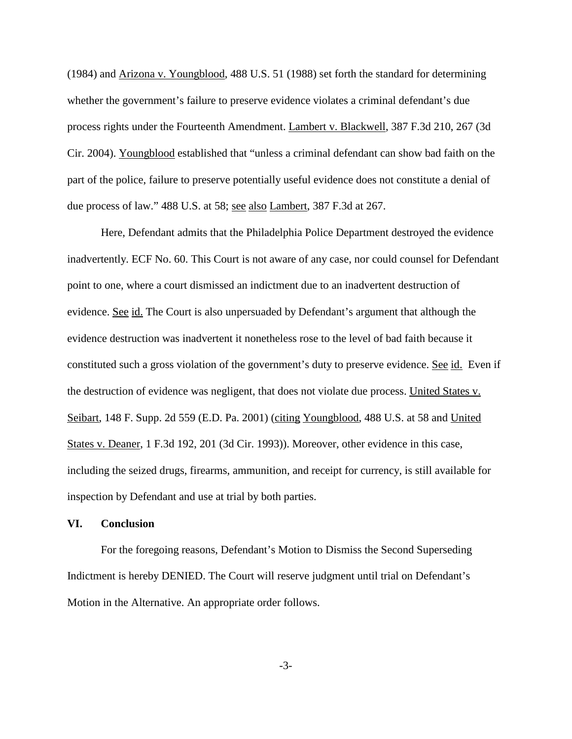(1984) and Arizona v. Youngblood, 488 U.S. 51 (1988) set forth the standard for determining whether the government's failure to preserve evidence violates a criminal defendant's due process rights under the Fourteenth Amendment. Lambert v. Blackwell, 387 F.3d 210, 267 (3d Cir. 2004). Youngblood established that "unless a criminal defendant can show bad faith on the part of the police, failure to preserve potentially useful evidence does not constitute a denial of due process of law." 488 U.S. at 58; see also Lambert, 387 F.3d at 267.

Here, Defendant admits that the Philadelphia Police Department destroyed the evidence inadvertently. ECF No. 60. This Court is not aware of any case, nor could counsel for Defendant point to one, where a court dismissed an indictment due to an inadvertent destruction of evidence. See id. The Court is also unpersuaded by Defendant's argument that although the evidence destruction was inadvertent it nonetheless rose to the level of bad faith because it constituted such a gross violation of the government's duty to preserve evidence. See id. Even if the destruction of evidence was negligent, that does not violate due process. United States v. Seibart, 148 F. Supp. 2d 559 (E.D. Pa. 2001) (citing Youngblood, 488 U.S. at 58 and United States v. Deaner, 1 F.3d 192, 201 (3d Cir. 1993)). Moreover, other evidence in this case, including the seized drugs, firearms, ammunition, and receipt for currency, is still available for inspection by Defendant and use at trial by both parties.

## **VI. Conclusion**

For the foregoing reasons, Defendant's Motion to Dismiss the Second Superseding Indictment is hereby DENIED. The Court will reserve judgment until trial on Defendant's Motion in the Alternative. An appropriate order follows.

-3-